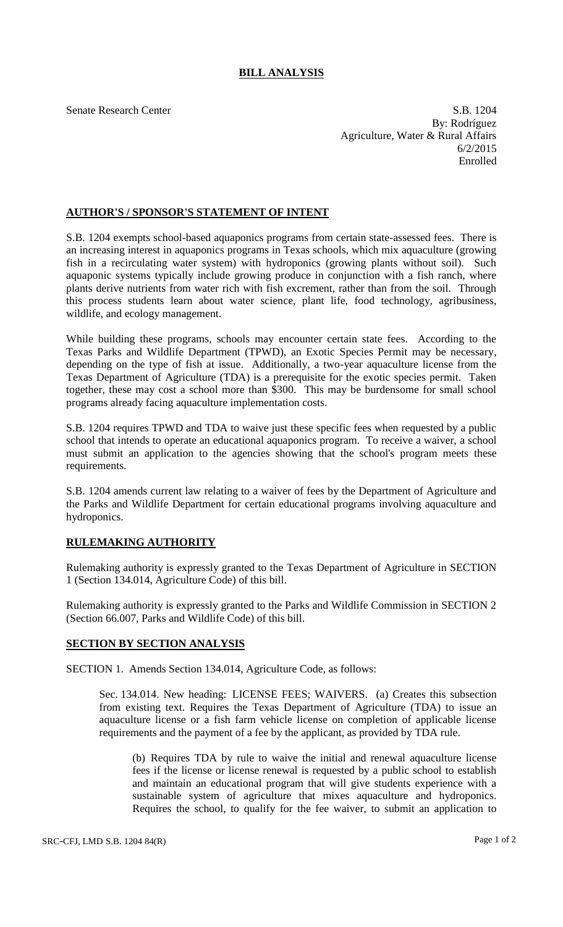## **BILL ANALYSIS**

Senate Research Center S.B. 1204 By: Rodríguez Agriculture, Water & Rural Affairs 6/2/2015 Enrolled

## **AUTHOR'S / SPONSOR'S STATEMENT OF INTENT**

S.B. 1204 exempts school-based aquaponics programs from certain state-assessed fees. There is an increasing interest in aquaponics programs in Texas schools, which mix aquaculture (growing fish in a recirculating water system) with hydroponics (growing plants without soil). Such aquaponic systems typically include growing produce in conjunction with a fish ranch, where plants derive nutrients from water rich with fish excrement, rather than from the soil. Through this process students learn about water science, plant life, food technology, agribusiness, wildlife, and ecology management.

While building these programs, schools may encounter certain state fees. According to the Texas Parks and Wildlife Department (TPWD), an Exotic Species Permit may be necessary, depending on the type of fish at issue. Additionally, a two-year aquaculture license from the Texas Department of Agriculture (TDA) is a prerequisite for the exotic species permit. Taken together, these may cost a school more than \$300. This may be burdensome for small school programs already facing aquaculture implementation costs.

S.B. 1204 requires TPWD and TDA to waive just these specific fees when requested by a public school that intends to operate an educational aquaponics program. To receive a waiver, a school must submit an application to the agencies showing that the school's program meets these requirements.

S.B. 1204 amends current law relating to a waiver of fees by the Department of Agriculture and the Parks and Wildlife Department for certain educational programs involving aquaculture and hydroponics.

## **RULEMAKING AUTHORITY**

Rulemaking authority is expressly granted to the Texas Department of Agriculture in SECTION 1 (Section 134.014, Agriculture Code) of this bill.

Rulemaking authority is expressly granted to the Parks and Wildlife Commission in SECTION 2 (Section 66.007, Parks and Wildlife Code) of this bill.

## **SECTION BY SECTION ANALYSIS**

SECTION 1. Amends Section 134.014, Agriculture Code, as follows:

Sec. 134.014. New heading: LICENSE FEES; WAIVERS. (a) Creates this subsection from existing text. Requires the Texas Department of Agriculture (TDA) to issue an aquaculture license or a fish farm vehicle license on completion of applicable license requirements and the payment of a fee by the applicant, as provided by TDA rule.

(b) Requires TDA by rule to waive the initial and renewal aquaculture license fees if the license or license renewal is requested by a public school to establish and maintain an educational program that will give students experience with a sustainable system of agriculture that mixes aquaculture and hydroponics. Requires the school, to qualify for the fee waiver, to submit an application to